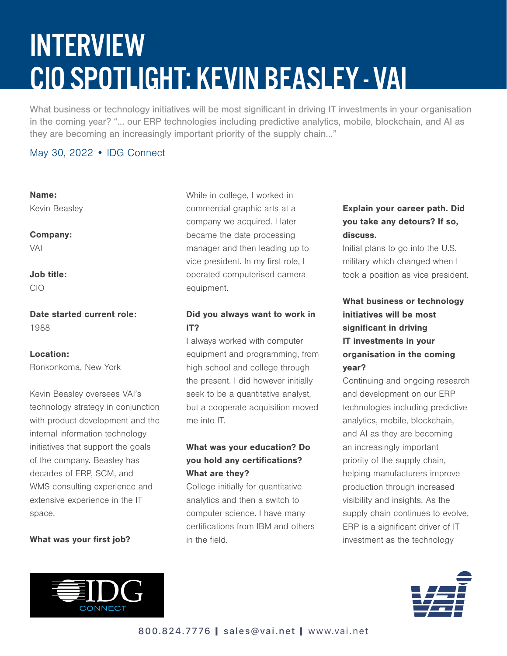# INTERVIEW CIO SPOTLIGHT: KEVIN BEASLEY - VAI

What business or technology initiatives will be most significant in driving IT investments in your organisation in the coming year? "… our ERP technologies including predictive analytics, mobile, blockchain, and AI as they are becoming an increasingly important priority of the supply chain…"

#### May 30, 2022 • IDG Connect

Name: Kevin Beasley

Company: VAI

Job title: CIO

Date started current role: 1988

#### Location:

Ronkonkoma, New York

Kevin Beasley oversees VAI's technology strategy in conjunction with product development and the internal information technology initiatives that support the goals of the company. Beasley has decades of ERP, SCM, and WMS consulting experience and extensive experience in the IT space.

#### What was your first job?



While in college, I worked in commercial graphic arts at a company we acquired. I later became the date processing manager and then leading up to vice president. In my first role, I operated computerised camera equipment.

#### Did you always want to work in IT?

I always worked with computer equipment and programming, from high school and college through the present. I did however initially seek to be a quantitative analyst, but a cooperate acquisition moved me into IT.

#### What was your education? Do you hold any certifications? What are they?

College initially for quantitative analytics and then a switch to computer science. I have many certifications from IBM and others in the field.

#### Explain your career path. Did you take any detours? If so, discuss.

Initial plans to go into the U.S. military which changed when I took a position as vice president.

# What business or technology initiatives will be most significant in driving IT investments in your organisation in the coming year?

Continuing and ongoing research and development on our ERP technologies including predictive analytics, mobile, blockchain, and AI as they are becoming an increasingly important priority of the supply chain, helping manufacturers improve production through increased visibility and insights. As the supply chain continues to evolve, ERP is a significant driver of IT investment as the technology

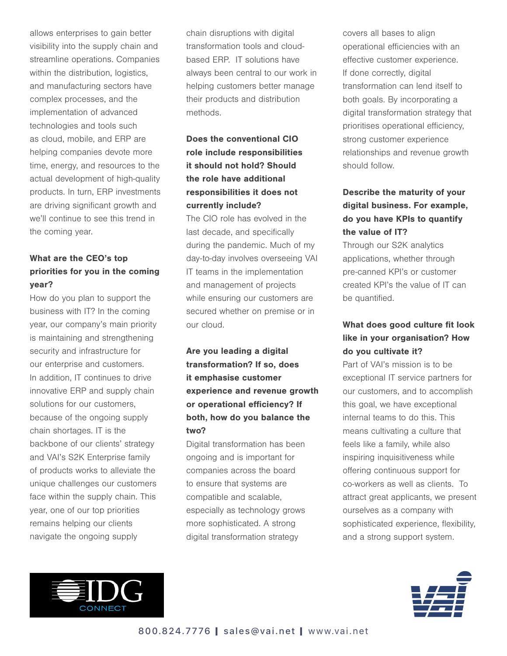allows enterprises to gain better visibility into the supply chain and streamline operations. Companies within the distribution, logistics, and manufacturing sectors have complex processes, and the implementation of advanced technologies and tools such as cloud, mobile, and ERP are helping companies devote more time, energy, and resources to the actual development of high-quality products. In turn, ERP investments are driving significant growth and we'll continue to see this trend in the coming year.

#### What are the CEO's top priorities for you in the coming year?

How do you plan to support the business with IT? In the coming year, our company's main priority is maintaining and strengthening security and infrastructure for our enterprise and customers. In addition, IT continues to drive innovative ERP and supply chain solutions for our customers, because of the ongoing supply chain shortages. IT is the backbone of our clients' strategy and VAI's S2K Enterprise family of products works to alleviate the unique challenges our customers face within the supply chain. This year, one of our top priorities remains helping our clients navigate the ongoing supply

chain disruptions with digital transformation tools and cloudbased ERP. IT solutions have always been central to our work in helping customers better manage their products and distribution methods.

## Does the conventional CIO role include responsibilities it should not hold? Should the role have additional responsibilities it does not currently include?

The CIO role has evolved in the last decade, and specifically during the pandemic. Much of my day-to-day involves overseeing VAI IT teams in the implementation and management of projects while ensuring our customers are secured whether on premise or in our cloud.

## Are you leading a digital transformation? If so, does it emphasise customer experience and revenue growth or operational efficiency? If both, how do you balance the two?

Digital transformation has been ongoing and is important for companies across the board to ensure that systems are compatible and scalable, especially as technology grows more sophisticated. A strong digital transformation strategy

covers all bases to align operational efficiencies with an effective customer experience. If done correctly, digital transformation can lend itself to both goals. By incorporating a digital transformation strategy that prioritises operational efficiency, strong customer experience relationships and revenue growth should follow.

# Describe the maturity of your digital business. For example, do you have KPIs to quantify the value of IT?

Through our S2K analytics applications, whether through pre-canned KPI's or customer created KPI's the value of IT can be quantified.

## What does good culture fit look like in your organisation? How do you cultivate it?

Part of VAI's mission is to be exceptional IT service partners for our customers, and to accomplish this goal, we have exceptional internal teams to do this. This means cultivating a culture that feels like a family, while also inspiring inquisitiveness while offering continuous support for co-workers as well as clients. To attract great applicants, we present ourselves as a company with sophisticated experience, flexibility, and a strong support system.